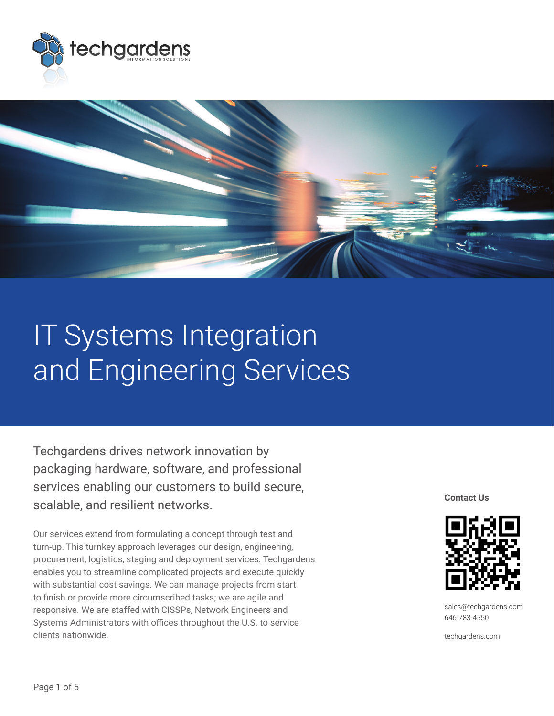



# IT Systems Integration and Engineering Services

Techgardens drives network innovation by packaging hardware, software, and professional services enabling our customers to build secure, scalable, and resilient networks.

Our services extend from formulating a concept through test and turn-up. This turnkey approach leverages our design, engineering, procurement, logistics, staging and deployment services. Techgardens enables you to streamline complicated projects and execute quickly with substantial cost savings. We can manage projects from start to finish or provide more circumscribed tasks; we are agile and responsive. We are staffed with CISSPs, Network Engineers and Systems Administrators with offices throughout the U.S. to service clients nationwide.

**Contact Us**



sales@techgardens.com 646-783-4550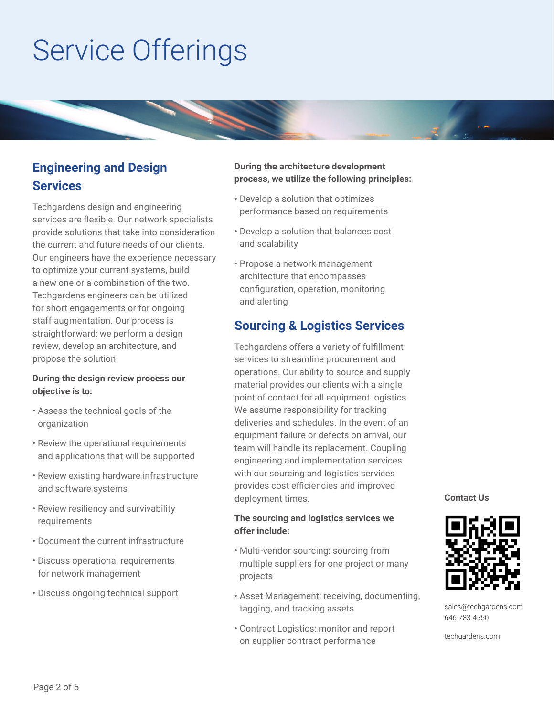# Service Offerings



Techgardens design and engineering services are flexible. Our network specialists provide solutions that take into consideration the current and future needs of our clients. Our engineers have the experience necessary to optimize your current systems, build a new one or a combination of the two. Techgardens engineers can be utilized for short engagements or for ongoing staff augmentation. Our process is straightforward; we perform a design review, develop an architecture, and propose the solution.

#### **During the design review process our objective is to:**

- Assess the technical goals of the organization
- Review the operational requirements and applications that will be supported
- Review existing hardware infrastructure and software systems
- Review resiliency and survivability requirements
- Document the current infrastructure
- Discuss operational requirements for network management
- Discuss ongoing technical support

## **During the architecture development process, we utilize the following principles:**

- Develop a solution that optimizes performance based on requirements
- Develop a solution that balances cost and scalability
- Propose a network management architecture that encompasses configuration, operation, monitoring and alerting

## **Sourcing & Logistics Services**

Techgardens offers a variety of fulfillment services to streamline procurement and operations. Our ability to source and supply material provides our clients with a single point of contact for all equipment logistics. We assume responsibility for tracking deliveries and schedules. In the event of an equipment failure or defects on arrival, our team will handle its replacement. Coupling engineering and implementation services with our sourcing and logistics services provides cost efficiencies and improved deployment times.

### **The sourcing and logistics services we offer include:**

- Multi-vendor sourcing: sourcing from multiple suppliers for one project or many projects
- Asset Management: receiving, documenting, tagging, and tracking assets
- Contract Logistics: monitor and report on supplier contract performance

**Contact Us**



sales@techgardens.com 646-783-4550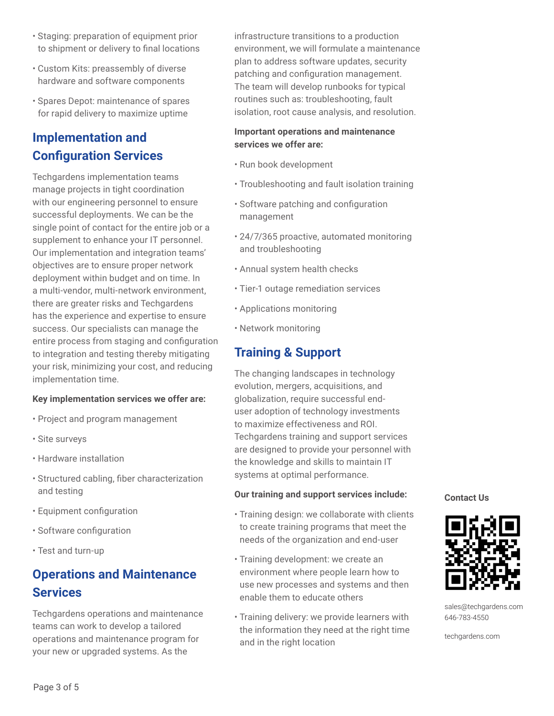- Staging: preparation of equipment prior to shipment or delivery to final locations
- Custom Kits: preassembly of diverse hardware and software components
- Spares Depot: maintenance of spares for rapid delivery to maximize uptime

## **Implementation and Configuration Services**

Techgardens implementation teams manage projects in tight coordination with our engineering personnel to ensure successful deployments. We can be the single point of contact for the entire job or a supplement to enhance your IT personnel. Our implementation and integration teams' objectives are to ensure proper network deployment within budget and on time. In a multi-vendor, multi-network environment, there are greater risks and Techgardens has the experience and expertise to ensure success. Our specialists can manage the entire process from staging and configuration to integration and testing thereby mitigating your risk, minimizing your cost, and reducing implementation time.

#### **Key implementation services we offer are:**

- Project and program management
- Site surveys
- Hardware installation
- Structured cabling, fiber characterization and testing
- Equipment configuration
- Software configuration
- Test and turn-up

## **Operations and Maintenance Services**

Techgardens operations and maintenance teams can work to develop a tailored operations and maintenance program for your new or upgraded systems. As the

infrastructure transitions to a production environment, we will formulate a maintenance plan to address software updates, security patching and configuration management. The team will develop runbooks for typical routines such as: troubleshooting, fault isolation, root cause analysis, and resolution.

### **Important operations and maintenance services we offer are:**

- Run book development
- Troubleshooting and fault isolation training
- Software patching and configuration management
- 24/7/365 proactive, automated monitoring and troubleshooting
- Annual system health checks
- Tier-1 outage remediation services
- Applications monitoring
- Network monitoring

## **Training & Support**

The changing landscapes in technology evolution, mergers, acquisitions, and globalization, require successful enduser adoption of technology investments to maximize effectiveness and ROI. Techgardens training and support services are designed to provide your personnel with the knowledge and skills to maintain IT systems at optimal performance.

#### **Our training and support services include:**

- Training design: we collaborate with clients to create training programs that meet the needs of the organization and end-user
- Training development: we create an environment where people learn how to use new processes and systems and then enable them to educate others
- Training delivery: we provide learners with the information they need at the right time and in the right location

**Contact Us**



sales@techgardens.com 646-783-4550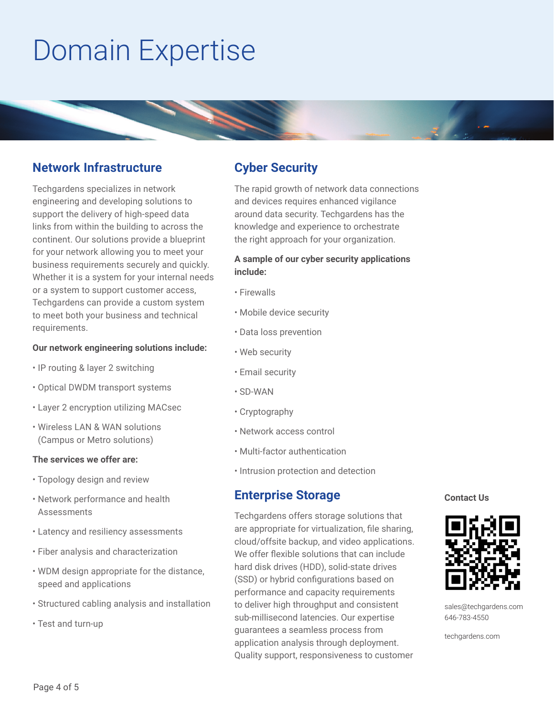# Domain Expertise



## **Network Infrastructure**

Techgardens specializes in network engineering and developing solutions to support the delivery of high-speed data links from within the building to across the continent. Our solutions provide a blueprint for your network allowing you to meet your business requirements securely and quickly. Whether it is a system for your internal needs or a system to support customer access, Techgardens can provide a custom system to meet both your business and technical requirements.

#### **Our network engineering solutions include:**

- IP routing & layer 2 switching
- Optical DWDM transport systems
- Layer 2 encryption utilizing MACsec
- Wireless LAN & WAN solutions (Campus or Metro solutions)

#### **The services we offer are:**

- Topology design and review
- Network performance and health Assessments
- Latency and resiliency assessments
- Fiber analysis and characterization
- WDM design appropriate for the distance, speed and applications
- Structured cabling analysis and installation
- Test and turn-up

## **Cyber Security**

The rapid growth of network data connections and devices requires enhanced vigilance around data security. Techgardens has the knowledge and experience to orchestrate the right approach for your organization.

### **A sample of our cyber security applications include:**

- Firewalls
- Mobile device security
- Data loss prevention
- Web security
- Email security
- SD-WAN
- Cryptography
- Network access control
- Multi-factor authentication
- Intrusion protection and detection

## **Enterprise Storage**

Techgardens offers storage solutions that are appropriate for virtualization, file sharing, cloud/offsite backup, and video applications. We offer flexible solutions that can include hard disk drives (HDD), solid-state drives (SSD) or hybrid configurations based on performance and capacity requirements to deliver high throughput and consistent sub-millisecond latencies. Our expertise guarantees a seamless process from application analysis through deployment. Quality support, responsiveness to customer

**Contact Us**



sales@techgardens.com 646-783-4550